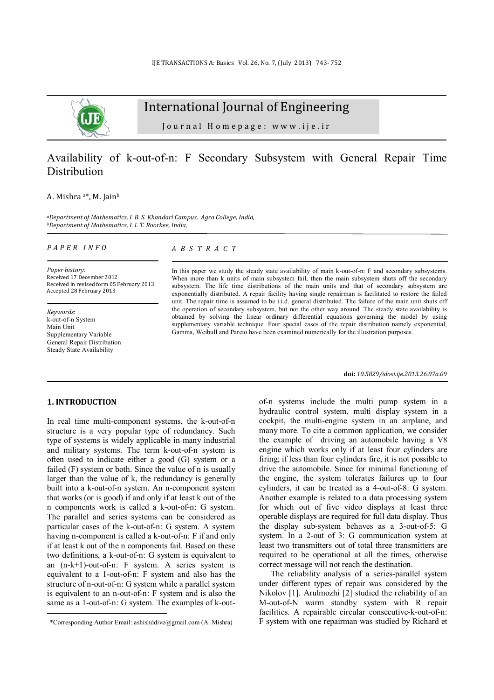

# International Journal of Engineering

Journal Homepage: www.ije.ir

## Availability of k-out-of-n: F Secondary Subsystem with General Repair Time Distribution

#### A. Mishra a\*, M. Jain<sup>b</sup>

*<sup>a</sup>Department of Mathematics, I. B. S. Khandari Campus, Agra College, India*, *<sup>b</sup>Department of Mathematics, I. I. T. Roorkee, India*,

#### *P A P E R I N F O*

*Paper history:*  Received 17 December 2012 Received in revised form 05 February 2013 Accepted 28 February 2013

*Keywords*: k-out-of-n System Main Unit Supplementary Variable General Repair Distribution Steady State Availability

### *A B S T R A C T*

In this paper we study the steady state availability of main k-out-of-n: F and secondary subsystems. When more than k units of main subsystem fail, then the main subsystem shuts off the secondary subsystem. The life time distributions of the main units and that of secondary subsystem are exponentially distributed. A repair facility having single repairman is facilitated to restore the failed unit. The repair time is assumed to be i.i.d. general distributed. The failure of the main unit shuts off the operation of secondary subsystem, but not the other way around. The steady state availability is obtained by solving the linear ordinary differential equations governing the model by using supplementary variable technique. Four special cases of the repair distribution namely exponential, Gamma, Weibull and Pareto have been examined numerically for the illustration purposes.

**doi:** *10.5829/idosi.ije.2013.26.07a.09* 

of-n systems include the multi pump system in a hydraulic control system, multi display system in a cockpit, the multi-engine system in an airplane, and many more. To cite a common application, we consider the example of driving an automobile having a V8 engine which works only if at least four cylinders are firing; if less than four cylinders fire, it is not possible to drive the automobile. Since for minimal functioning of the engine, the system tolerates failures up to four cylinders, it can be treated as a 4-out-of-8: G system. Another example is related to a data processing system for which out of five video displays at least three operable displays are required for full data display. Thus the display sub-system behaves as a 3-out-of-5: G system. In a 2-out of 3: G communication system at least two transmitters out of total three transmitters are required to be operational at all the times, otherwise correct message will not reach the destination.

The reliability analysis of a series-parallel system under different types of repair was considered by the Nikolov [1]. Arulmozhi [2] studied the reliability of an M-out-of-N warm standby system with R repair facilities. A repairable circular consecutive-k-out-of-n: F system with one repairman was studied by Richard et

#### **1. INTRODUCTION <sup>1</sup>**

l

In real time multi-component systems, the k-out-of-n structure is a very popular type of redundancy. Such type of systems is widely applicable in many industrial and military systems. The term k-out-of-n system is often used to indicate either a good (G) system or a failed (F) system or both. Since the value of n is usually larger than the value of k, the redundancy is generally built into a k-out-of-n system. An n-component system that works (or is good) if and only if at least k out of the n components work is called a k-out-of-n: G system. The parallel and series systems can be considered as particular cases of the k-out-of-n: G system. A system having n-component is called a k-out-of-n: F if and only if at least k out of the n components fail. Based on these two definitions, a k-out-of-n: G system is equivalent to an (n-k+1)-out-of-n: F system. A series system is equivalent to a 1-out-of-n: F system and also has the structure of n-out-of-n: G system while a parallel system is equivalent to an n-out-of-n: F system and is also the same as a 1-out-of-n: G system. The examples of k-out-

<sup>1</sup> \*Corresponding Author Email: [ashishddive@gmail.com](mailto:ashishddive@gmail.com) (A. Mishra)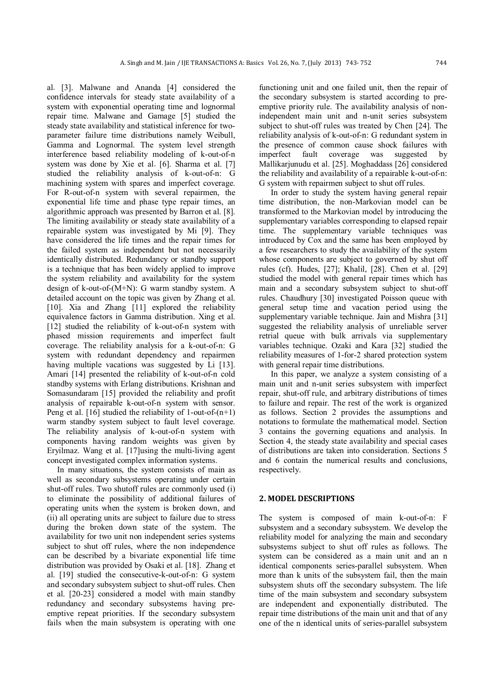al*.* [3]. Malwane and Ananda [4] considered the confidence intervals for steady state availability of a system with exponential operating time and lognormal repair time. Malwane and Gamage [5] studied the steady state availability and statistical inference for twoparameter failure time distributions namely Weibull, Gamma and Lognormal. The system level strength interference based reliability modeling of k-out-of-n system was done by Xie et al*.* [6]. Sharma et al. [7] studied the reliability analysis of k-out-of-n: G machining system with spares and imperfect coverage. For R-out-of-n system with several repairmen, the exponential life time and phase type repair times, an algorithmic approach was presented by Barron et al. [8]. The limiting availability or steady state availability of a repairable system was investigated by Mi [9]. They have considered the life times and the repair times for the failed system as independent but not necessarily identically distributed. Redundancy or standby support is a technique that has been widely applied to improve the system reliability and availability for the system design of k-out-of-(M+N): G warm standby system. A detailed account on the topic was given by Zhang et al. [10]. Xia and Zhang [11] explored the reliability equivalence factors in Gamma distribution. Xing et al. [12] studied the reliability of k-out-of-n system with phased mission requirements and imperfect fault coverage. The reliability analysis for a k-out-of-n: G system with redundant dependency and repairmen having multiple vacations was suggested by Li [13]. Amari [14] presented the reliability of k-out-of-n cold standby systems with Erlang distributions. Krishnan and Somasundaram [15] provided the reliability and profit analysis of repairable k-out-of-n system with sensor. Peng et al. [16] studied the reliability of 1-out-of-(n+1) warm standby system subject to fault level coverage. The reliability analysis of k-out-of-n system with components having random weights was given by Eryilmaz. Wang et al*.* [17]using the multi-living agent concept investigated complex information systems.

 In many situations, the system consists of main as well as secondary subsystems operating under certain shut-off rules. Two shutoff rules are commonly used (i) to eliminate the possibility of additional failures of operating units when the system is broken down, and (ii) all operating units are subject to failure due to stress during the broken down state of the system. The availability for two unit non independent series systems subject to shut off rules, where the non independence can be described by a bivariate exponential life time distribution was provided by Osaki et al*.* [18]. Zhang et al. [19] studied the consecutive-k-out-of-n: G system and secondary subsystem subject to shut-off rules. Chen et al. [20-23] considered a model with main standby redundancy and secondary subsystems having preemptive repeat priorities. If the secondary subsystem fails when the main subsystem is operating with one

functioning unit and one failed unit, then the repair of the secondary subsystem is started according to preemptive priority rule. The availability analysis of nonindependent main unit and n-unit series subsystem subject to shut-off rules was treated by Chen [24]. The reliability analysis of k-out-of-n: G redundant system in the presence of common cause shock failures with imperfect fault coverage was suggested by Mallikarjunudu et al. [25]. Moghaddass [26] considered the reliability and availability of a repairable k-out-of-n: G system with repairmen subject to shut off rules.

In order to study the system having general repair time distribution, the non-Markovian model can be transformed to the Markovian model by introducing the supplementary variables corresponding to elapsed repair time. The supplementary variable techniques was introduced by Cox and the same has been employed by a few researchers to study the availability of the system whose components are subject to governed by shut off rules (cf). Hudes, [27]; Khalil, [28]. Chen et al. [29] studied the model with general repair times which has main and a secondary subsystem subject to shut-off rules. Chaudhury [30] investigated Poisson queue with general setup time and vacation period using the supplementary variable technique. Jain and Mishra [31] suggested the reliability analysis of unreliable server retrial queue with bulk arrivals via supplementary variables technique. Ozaki and Kara [32] studied the reliability measures of 1-for-2 shared protection system with general repair time distributions.

In this paper, we analyze a system consisting of a main unit and n-unit series subsystem with imperfect repair, shut-off rule, and arbitrary distributions of times to failure and repair. The rest of the work is organized as follows. Section 2 provides the assumptions and notations to formulate the mathematical model. Section 3 contains the governing equations and analysis. In Section 4, the steady state availability and special cases of distributions are taken into consideration. Sections 5 and 6 contain the numerical results and conclusions, respectively.

#### **2. MODEL DESCRIPTIONS**

The system is composed of main k-out-of-n: F subsystem and a secondary subsystem. We develop the reliability model for analyzing the main and secondary subsystems subject to shut off rules as follows. The system can be considered as a main unit and an n identical components series-parallel subsystem. When more than k units of the subsystem fail, then the main subsystem shuts off the secondary subsystem. The life time of the main subsystem and secondary subsystem are independent and exponentially distributed. The repair time distributions of the main unit and that of any one of the n identical units of series-parallel subsystem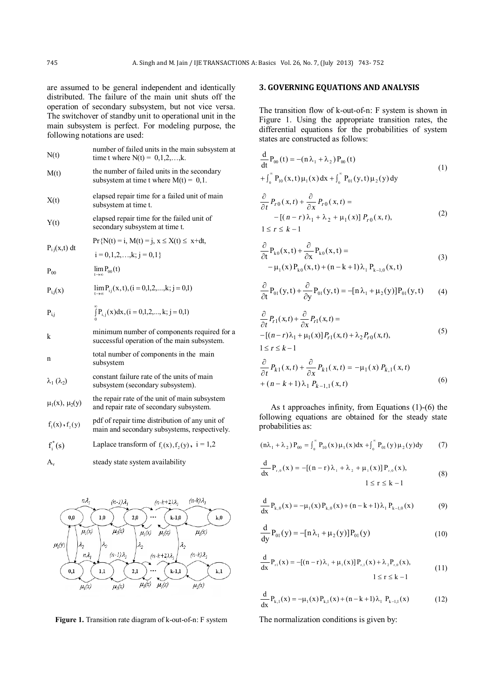are assumed to be general independent and identically distributed. The failure of the main unit shuts off the operation of secondary subsystem, but not vice versa. The switchover of standby unit to operational unit in the main subsystem is perfect. For modeling purpose, the following notations are used:

| N(t)                          | number of failed units in the main subsystem at<br>time t where $N(t) = 0, 1, 2, , k$ .        |
|-------------------------------|------------------------------------------------------------------------------------------------|
| M(t)                          | the number of failed units in the secondary<br>subsystem at time t where $M(t) = 0, 1$ .       |
| X(t)                          | elapsed repair time for a failed unit of main<br>subsystem at time t.                          |
| Y(t)                          | elapsed repair time for the failed unit of<br>secondary subsystem at time t.                   |
| $P_{i}$ <sub>i</sub> (x,t) dt | $Pr\{N(t) = i, M(t) = j, x \le X(t) \le x + dt,$                                               |
|                               | $i = 0, 1, 2, \ldots, k; j = 0, 1$                                                             |
| $P_{00}$                      | $\lim_{t\to\infty} P_{00}(t)$                                                                  |
| $P_{i,j}(x)$                  | $\lim_{t\to\infty} P_{ij}(x, t), (i = 0, 1, 2, \dots, k; j = 0, 1)$                            |
| $P_{i,j}$                     | $\int_{1}^{3} P_{i,j}(x) dx$ , (i = 0,1,2,, k; j = 0,1)                                        |
| k                             | minimum number of components required for a<br>successful operation of the main subsystem.     |
| n                             | total number of components in the main<br>subsystem                                            |
| $\lambda_1(\lambda_2)$        | constant failure rate of the units of main<br>subsystem (secondary subsystem).                 |
| $\mu_1(x), \mu_2(y)$          | the repair rate of the unit of main subsystem<br>and repair rate of secondary subsystem.       |
| $f_1(x)$ , $f_2(y)$           | pdf of repair time distribution of any unit of<br>main and secondary subsystems, respectively. |
| $f_i^*(s)$                    | Laplace transform of $f_i(x)$ , $f_2(y)$ , $i = 1,2$                                           |
| $A_{v}$                       | steady state system availability                                                               |



**Figure 1.** Transition rate diagram of k-out-of-n: F system

## **3. GOVERNING EQUATIONS AND ANALYSIS**

The transition flow of k-out-of-n: F system is shown in Figure 1. Using the appropriate transition rates, the differential equations for the probabilities of system states are constructed as follows:

$$
\frac{d}{dt}P_{00}(t) = -(n\lambda_1 + \lambda_2)P_{00}(t)
$$
\n
$$
+ \int_0^{\infty} P_{10}(x, t)\mu_1(x)dx + \int_0^{\infty} P_{01}(y, t)\mu_2(y)dy
$$
\n(1)

$$
\frac{\partial}{\partial t} P_{r0}(x,t) + \frac{\partial}{\partial x} P_{r0}(x,t) = -[(n-r)\lambda_1 + \lambda_2 + \mu_1(x)] P_{r0}(x,t),
$$
\n
$$
1 \le r \le k - 1
$$
\n(2)

$$
\frac{\partial}{\partial t} P_{k0}(x, t) + \frac{\partial}{\partial x} P_{k0}(x, t) =
$$
\n
$$
-\mu_1(x) P_{k0}(x, t) + (n - k + 1)\lambda_1 P_{k-1,0}(x, t)
$$
\n(3)

$$
\frac{\partial}{\partial t} P_{01}(y, t) + \frac{\partial}{\partial y} P_{01}(y, t) = -[n\lambda_1 + \mu_2(y)] P_{01}(y, t) \tag{4}
$$

$$
\frac{\partial}{\partial t} P_{r1}(x,t) + \frac{\partial}{\partial x} P_{r1}(x,t) =
$$
\n
$$
-[(n-r)\lambda_1 + \mu_1(x)]P_{r1}(x,t) + \lambda_2 P_{r0}(x,t),
$$
\n
$$
1 \le r \le k - 1
$$
\n(5)

$$
\frac{\partial}{\partial t} P_{k1}(x,t) + \frac{\partial}{\partial x} P_{k1}(x,t) = -\mu_1(x) P_{k,1}(x,t)
$$
  
+ 
$$
(n-k+1)\lambda_1 P_{k-1,1}(x,t)
$$
 (6)

As t approaches infinity, from Equations (1)-(6) the following equations are obtained for the steady state probabilities as:

$$
(n\lambda_1 + \lambda_2) P_{00} = \int_0^\infty P_{10}(x) \mu_1(x) dx + \int_0^\infty P_{01}(y) \mu_2(y) dy \tag{7}
$$

$$
\frac{d}{dx}P_{r,0}(x) = -[(n-r)\lambda_1 + \lambda_2 + \mu_1(x)]P_{r,0}(x),
$$
  
 
$$
1 \le r \le k - 1
$$
 (8)

$$
\frac{d}{dx}P_{k,0}(x) = -\mu_1(x)P_{k,0}(x) + (n-k+1)\lambda_1 P_{k-1,0}(x)
$$
\n(9)

$$
\frac{d}{dy}P_{01}(y) = -[n\lambda_1 + \mu_2(y)]P_{01}(y)
$$
\n(10)

$$
\frac{d}{dx}P_{r1}(x) = -[(n-r)\lambda_1 + \mu_1(x)]P_{r,1}(x) + \lambda_2 P_{r,0}(x),
$$
\n
$$
1 \le r \le k - 1
$$
\n(11)

$$
\frac{d}{dx}P_{k,1}(x) = -\mu_1(x)P_{k,1}(x) + (n-k+1)\lambda_1 P_{k-1,1}(x)
$$
\n(12)

The normalization conditions is given by: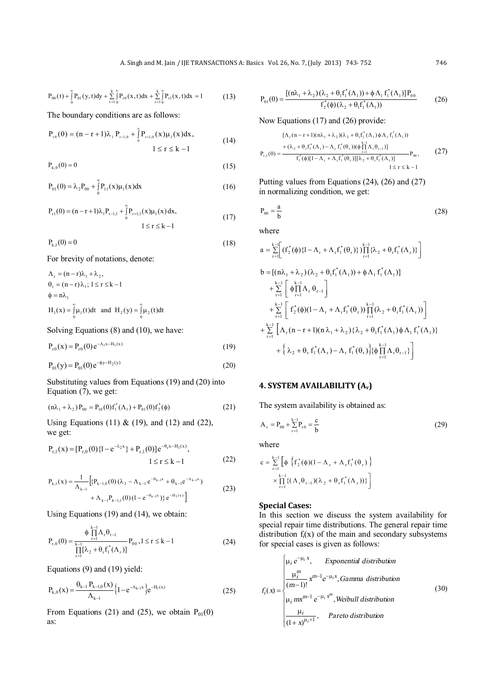$$
P_{00}(t) + \int_{0}^{\infty} P_{01}(y, t) dy + \sum_{r=1}^{k} \int_{0}^{\infty} P_{r0}(x, t) dx + \sum_{r=1}^{k} \int_{0}^{\infty} P_{r1}(x, t) dx = 1
$$
 (13)

The boundary conditions are as follows:

$$
P_{r0}(0) = (n - r + 1)\lambda_1 P_{r-1,0} + \int_{0}^{\infty} P_{r+1,0}(x)\mu_1(x)dx,
$$
  
 
$$
1 \le r \le k - 1
$$
 (14)

 $P_{k,0}(0) = 0$  (15)

$$
P_{01}(0) = \lambda_2 P_{00} + \int_{0}^{\infty} P_{11}(x)\mu_1(x)dx
$$
 (16)

$$
P_{r1}(0) = (n - r + 1)\lambda_1 P_{r-1,1} + \int_0^{\infty} P_{r+1,1}(x)\mu_1(x) dx,
$$
  
  $1 \le r \le k - 1$  (17)

$$
P_{k,1}(0) = 0 \tag{18}
$$

For brevity of notations, denote:

$$
\Lambda_{r} = (n-r)\lambda_{1} + \lambda_{2},
$$
\n
$$
\theta_{r} = (n-r)\lambda_{1}; 1 \leq r \leq k-1
$$
\n
$$
\phi = n\lambda_{1}
$$
\n
$$
H_{1}(x) = \int_{0}^{\infty} \mu_{1}(t) dt \text{ and } H_{2}(y) = \int_{0}^{\infty} \mu_{2}(t) dt
$$

Solving Equations (8) and (10), we have:

$$
P_{r0}(x) = P_{r0}(0) e^{-\Lambda_r x - H_1(x)}
$$
\n(19)

$$
P_{01}(y) = P_{01}(0)e^{-\phi y - H_2(y)}
$$
\n(20)

Substituting values from Equations (19) and (20) into Equation (7), we get:

$$
(n\lambda_1 + \lambda_2) P_{00} = P_{10}(0) f_1^*(\Lambda_1) + P_{01}(0) f_2^*(\phi)
$$
 (21)

Using Equations (11)  $\&$  (19), and (12) and (22), we get:

$$
P_{r,1}(x) = [P_{r,0}(0) \{1 - e^{-\lambda_2 x}\} + P_{r,1}(0)] e^{-\theta_r x - H_1(x)},
$$
  
 
$$
1 \le r \le k - 1
$$
 (22)

$$
P_{k,l}(x) = \frac{1}{\Lambda_{k-l}} \left[ \{ P_{k-l,0}(0) (\lambda_2 - \Lambda_{k-l} e^{-\theta_{k-l}x} + \theta_{k-l} e^{-\Lambda_{k-l}x}) + \Lambda_{k-l} P_{k-l} P_{k-l,l}(0) (1 - e^{-\theta_{k-l}x}) \} e^{-H_l(x)} \right]
$$
(23)

Using Equations (19) and (14), we obtain:

$$
P_{r,0}(0) = \frac{\phi \prod_{r=1}^{k-1} \Lambda_r \theta_{r-1}}{\prod_{r=1}^{k-1} [\lambda_2 + \theta_r f_1^*(\Lambda_r)]} P_{00}, 1 \le r \le k-1
$$
 (24)

Equations (9) and (19) yield:

$$
P_{k,0}(x) = \frac{\theta_{k-1} P_{k-1,0}(x)}{\Lambda_{k-1}} \left\{ 1 - e^{-\Lambda_{k-1}x} \right\} e^{-H_1(x)} \tag{25}
$$

From Equations (21) and (25), we obtain  $P_{01}(0)$ as:

$$
P_{01}(0) = \frac{[(n\lambda_1 + \lambda_2)(\lambda_2 + \theta_1 f_1^*(\Lambda_1)) + \phi \Lambda_1 f_1^*(\Lambda_1)]P_{00}}{f_2^*(\phi)(\lambda_2 + \theta_1 f_1^*(\Lambda_1))}
$$
(26)

Now Equations (17) and (26) provide:

$$
P_{r,1}(0) = \frac{+(\lambda_2 + \theta_1 f_1^*(\Lambda_1) - \lambda_1 f_1^*(\Lambda_1)) + (\lambda_2 + \theta_1 f_1^*(\Lambda_1)) - (\lambda_2 + \theta_1 f_1^*(\Lambda_1) - \lambda_1 f_1^*(\theta_1))(\phi \prod_{r=1}^{k-1} \Lambda_r \theta_{r-1})]}{f_1^*(\phi)[1 - \Lambda_r + \Lambda_r f_1^*(\theta_r)][\lambda_2 + \theta_r f_1^*(\Lambda_r)]} P_{00},
$$
(27)

Putting values from Equations (24), (26) and (27) in normalizing condition, we get:

$$
P_{00} = \frac{a}{b} \tag{28}
$$

where

$$
a = \sum_{r=1}^{k-1} \left[ (f_2^*(\phi)\{1 - \Lambda_r + \Lambda_r f_1^*(\theta_r)\}) \prod_{r=1}^{k-1} \{\lambda_2 + \theta_r f_1^*(\Lambda_r)\} \right]
$$
  
\n
$$
b = \left[ (n\lambda_1 + \lambda_2)(\lambda_2 + \theta_1 f_1^*(\Lambda_1)) + \phi \Lambda_1 f_1^*(\Lambda_1) \right]
$$
  
\n
$$
+ \sum_{r=1}^{k-1} \left[ \phi \prod_{r=1}^{k-1} \Lambda_r \theta_{r-1} \right]
$$
  
\n
$$
+ \sum_{r=1}^{k-1} \left[ f_2^*(\phi)(1 - \Lambda_r + \Lambda_r f_1^*(\theta_r)) \prod_{r=1}^{k-1} (\lambda_2 + \theta_r f_1^*(\Lambda_r)) \right]
$$
  
\n
$$
+ \sum_{r=1}^{k-1} \left[ \Lambda_r (n-r+1)(n\lambda_1 + \lambda_2) \{\lambda_2 + \theta_1 f_1^*(\Lambda_1)\phi \Lambda_1 f_1^*(\Lambda_1) \} + \{\lambda_2 + \theta_r f_1^*(\Lambda_r) - \Lambda_r f_1^*(\theta_r) \} \{\phi \prod_{r=1}^{k-1} \Lambda_r \theta_{r-1} \} \right]
$$

### **4. SYSTEM AVAILABILITY (Av)**

The system availability is obtained as:

$$
A_{v} = P_{00} + \sum_{r=1}^{k-1} P_{r0} = \frac{c}{b}
$$
 (29)

where

$$
c = \sum_{r=1}^{k-1} \left[ \phi \left\{ f_2^*(\phi)(1 - \Lambda_r + \Lambda_r f_1^*(\theta_r) \right\} \times \prod_{r=1}^{k-1} \{ (\Lambda_r \theta_{r-1})(\lambda_2 + \theta_r f_1^*(\Lambda_r)) \} \right]
$$

### **Special Cases:**

In this section we discuss the system availability for special repair time distributions. The general repair time distribution  $f_i(x)$  of the main and secondary subsystems for special cases is given as follows:

$$
f_i(x) = \begin{cases} \mu_i e^{-\mu_i x}, & Exponential distribution\\ \frac{\mu_i^m}{(m-1)!} x^{m-1} e^{-\mu_i x}, \text{Gamma distribution} \\ \mu_i m x^{m-1} e^{-\mu_i x^m}, \text{Weibull distribution} \\ \frac{\mu_i}{(1+x)^{\mu_i+1}}, & Pareto distribution \end{cases} \tag{30}
$$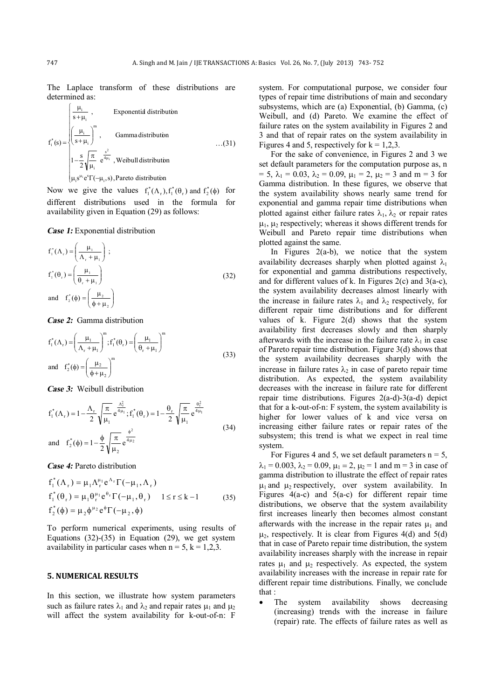The Laplace transform of these distributions are determined as:

$$
f_i^*(s) = \begin{cases} \frac{\mu_i}{s + \mu_i} , & \text{Exponential distribution} \\ \left(\frac{\mu_i}{s + \mu_i}\right)^m , & \text{Gamma distribution} \\ 1 - \frac{s}{2} \sqrt{\frac{\pi}{\mu_i}} e^{\frac{s^2}{4\mu_i}} , \text{Weibull distribution} \\ \mu_i s^{\mu_i} e^s \Gamma(-\mu_i, s) , \text{ Pareto distribution} \end{cases} \tag{31}
$$

Now we give the values  $f_1^*(\Lambda_r)$ ,  $f_1^*(\theta_r)$  and  $f_2^*(\phi)$  for different distributions used in the formula for

availability given in Equation (29) as follows:

*Case 1:* Exponential distribution

$$
f_1^*(\Lambda_r) = \left(\frac{\mu_1}{\Lambda_r + \mu_1}\right);
$$
  
\n
$$
f_1^*(\theta_r) = \left(\frac{\mu_1}{\theta_r + \mu_1}\right)
$$
  
\nand 
$$
f_2^*(\phi) = \left(\frac{\mu_2}{\phi + \mu_2}\right)
$$
\n(32)

*Case 2:* Gamma distribution

$$
f_1^*(\Lambda_r) = \left(\frac{\mu_1}{\Lambda_r + \mu_1}\right)^m; f_1^*(\theta_r) = \left(\frac{\mu_1}{\theta_r + \mu_1}\right)^m
$$
  
and 
$$
f_2^*(\phi) = \left(\frac{\mu_2}{\phi + \mu_2}\right)^m
$$
 (33)

*Case 3:* Weibull distribution

$$
f_1^*(\Lambda_r) = 1 - \frac{\Lambda_r}{2} \sqrt{\frac{\pi}{\mu_1}} e^{\frac{\Lambda_r^2}{4\mu_1}}; f_1^*(\theta_r) = 1 - \frac{\theta_r}{2} \sqrt{\frac{\pi}{\mu_1}} e^{\frac{\theta_r^2}{4\mu_1}}
$$
  
and  $f_2^*(\phi) = 1 - \frac{\phi}{2} \sqrt{\frac{\pi}{\mu_2}} e^{\frac{\phi^2}{4\mu_2}}$  (34)

*Case 4:* Pareto distribution

$$
f_1^*(\Lambda_r) = \mu_1 \Lambda_r^{\mu_1} e^{\Lambda_r} \Gamma(-\mu_1, \Lambda_r)
$$
  
\n
$$
f_1^*(\theta_r) = \mu_1 \theta_r^{\mu_1} e^{\theta_r} \Gamma(-\mu_1, \theta_r) \quad 1 \le r \le k - 1
$$
  
\n
$$
f_2^*(\phi) = \mu_2 \phi^{\mu_2} e^{\phi} \Gamma(-\mu_2, \phi)
$$
\n(35)

To perform numerical experiments, using results of Equations  $(32)-(35)$  in Equation  $(29)$ , we get system availability in particular cases when  $n = 5$ ,  $k = 1,2,3$ .

#### **5. NUMERICAL RESULTS**

In this section, we illustrate how system parameters such as failure rates  $\lambda_1$  and  $\lambda_2$  and repair rates  $\mu_1$  and  $\mu_2$ will affect the system availability for k-out-of-n: F

system. For computational purpose, we consider four types of repair time distributions of main and secondary subsystems, which are (a) Exponential, (b) Gamma, (c) Weibull, and (d) Pareto. We examine the effect of failure rates on the system availability in Figures 2 and 3 and that of repair rates on the system availability in Figures 4 and 5, respectively for  $k = 1,2,3$ .

For the sake of convenience, in Figures 2 and 3 we set default parameters for the computation purpose as, n  $= 5$ ,  $\lambda_1 = 0.03$ ,  $\lambda_2 = 0.09$ ,  $\mu_1 = 2$ ,  $\mu_2 = 3$  and m = 3 for Gamma distribution. In these figures, we observe that the system availability shows nearly same trend for exponential and gamma repair time distributions when plotted against either failure rates  $\lambda_1$ ,  $\lambda_2$  or repair rates  $\mu_1$ ,  $\mu_2$  respectively; whereas it shows different trends for Weibull and Pareto repair time distributions when plotted against the same.

In Figures  $2(a-b)$ , we notice that the system availability decreases sharply when plotted against  $\lambda_1$ for exponential and gamma distributions respectively, and for different values of k. In Figures 2(c) and  $3(a-c)$ , the system availability decreases almost linearly with the increase in failure rates  $\lambda_1$  and  $\lambda_2$  respectively, for different repair time distributions and for different values of k. Figure 2(d) shows that the system availability first decreases slowly and then sharply afterwards with the increase in the failure rate  $\lambda_1$  in case of Pareto repair time distribution. Figure 3(d) shows that the system availability decreases sharply with the increase in failure rates  $\lambda_2$  in case of pareto repair time distribution. As expected, the system availability decreases with the increase in failure rate for different repair time distributions. Figures 2(a-d)-3(a-d) depict that for a k-out-of-n: F system, the system availability is higher for lower values of k and vice versa on increasing either failure rates or repair rates of the subsystem; this trend is what we expect in real time system.

For Figures 4 and 5, we set default parameters  $n = 5$ ,  $\lambda_1 = 0.003$ ,  $\lambda_2 = 0.09$ ,  $\mu_1 = 2$ ,  $\mu_2 = 1$  and m = 3 in case of gamma distribution to illustrate the effect of repair rates  $\mu_1$  and  $\mu_2$  respectively, over system availability. In Figures  $4(a-c)$  and  $5(a-c)$  for different repair time distributions, we observe that the system availability first increases linearly then becomes almost constant afterwards with the increase in the repair rates  $\mu_1$  and  $\mu_2$ , respectively. It is clear from Figures 4(d) and 5(d) that in case of Pareto repair time distribution, the system availability increases sharply with the increase in repair rates  $\mu_1$  and  $\mu_2$  respectively. As expected, the system availability increases with the increase in repair rate for different repair time distributions. Finally, we conclude that :

• The system availability shows decreasing (increasing) trends with the increase in failure (repair) rate. The effects of failure rates as well as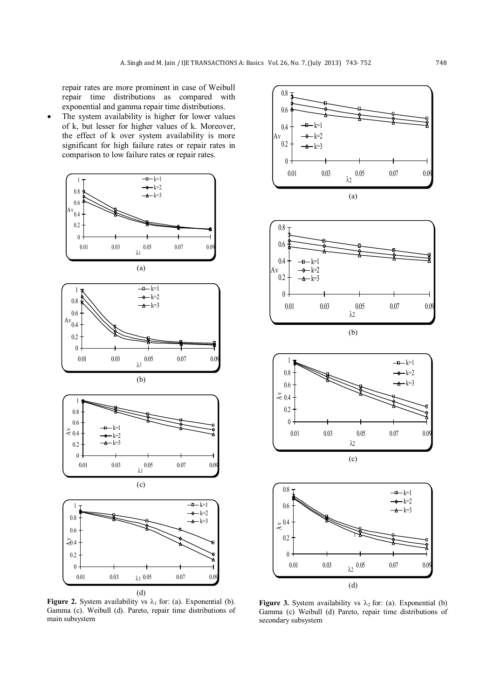repair rates are more prominent in case of Weibull repair time distributions as compared with exponential and gamma repair time distributions.

The system availability is higher for lower values of k, but lesser for higher values of k. Moreover, the effect of k over system availability is more significant for high failure rates or repair rates in comparison to low failure rates or repair rates.



**Figure 2.** System availability vs  $\lambda_1$  for: (a). Exponential (b). Gamma (c). Weibull (d). Pareto, repair time distributions of main subsystem



**Figure 3.** System availability vs  $\lambda_2$  for: (a). Exponential (b) Gamma (c) Weibull (d) Pareto, repair time distributions of secondary subsystem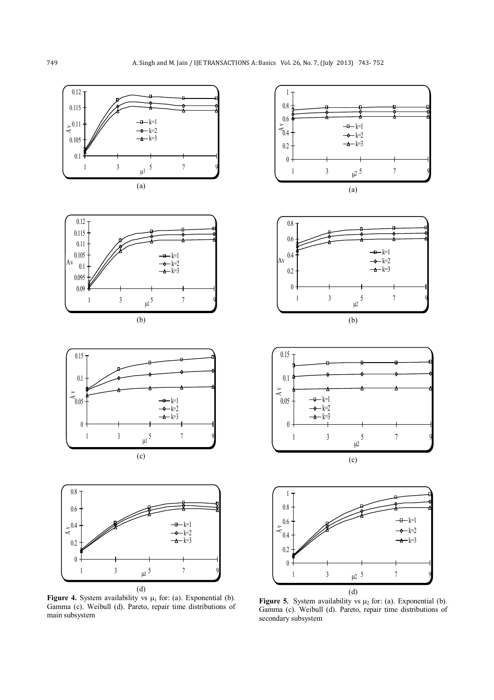

**Figure 4.** System availability vs  $\mu_1$  for: (a). Exponential (b). Gamma (c). Weibull (d). Pareto, repair time distributions of main subsystem



**Figure 5.** System availability vs  $\mu_2$  for: (a). Exponential (b). Gamma (c). Weibull (d). Pareto, repair time distributions of secondary subsystem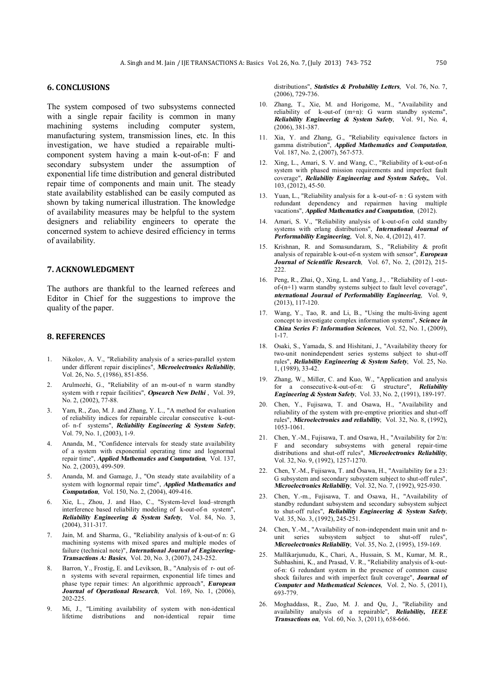### **6. CONCLUSIONS**

The system composed of two subsystems connected with a single repair facility is common in many machining systems including computer system, manufacturing system, transmission lines, etc. In this investigation, we have studied a repairable multicomponent system having a main k-out-of-n: F and secondary subsystem under the assumption of exponential life time distribution and general distributed repair time of components and main unit. The steady state availability established can be easily computed as shown by taking numerical illustration. The knowledge of availability measures may be helpful to the system designers and reliability engineers to operate the concerned system to achieve desired efficiency in terms of availability.

#### **7. ACKNOWLEDGMENT**

The authors are thankful to the learned referees and Editor in Chief for the suggestions to improve the quality of the paper.

#### **8. REFERENCES**

- 1. Nikolov, A. V., "Reliability analysis of a series-parallel system under different repair disciplines", *Microelectronics Reliability*, Vol. 26, No. 5, (1986), 851-856.
- 2. Arulmozhi, G., "Reliability of an m-out-of n warm standby system with r repair facilities", *Opsearch New Delhi* , Vol. 39, No. 2, (2002), 77-88.
- 3. Yam, R., Zuo, M. J. and Zhang, Y. L., "A method for evaluation of reliability indices for repairable circular consecutive k-outof- n-f systems", *Reliability Engineering & System Safety*, Vol. 79, No. 1, (2003), 1-9.
- 4. Ananda, M., "Confidence intervals for steady state availability of a system with exponential operating time and lognormal repair time", *Applied Mathematics and Computation*, Vol. 137, No. 2, (2003), 499-509.
- 5. Ananda, M. and Gamage, J., "On steady state availability of a system with lognormal repair time", *Applied Mathematics and Computation*, Vol. 150, No. 2, (2004), 409-416.
- 6. Xie, L., Zhou, J. and Hao, C., "System-level load–strength interference based reliability modeling of k-out-of-n system", *Reliability Engineering & System Safety*, Vol. 84, No. 3, (2004), 311-317.
- 7. Jain, M. and Sharma, G., "Reliability analysis of k-out-of n: G machining systems with mixed spares and multiple modes of failure (technical note)", *International Journal of Engineering-Transactions A: Basics*, Vol. 20, No. 3, (2007), 243-252.
- 8. Barron, Y., Frostig, E. and Levikson, B., "Analysis of r- out ofn systems with several repairmen, exponential life times and phase type repair times: An algorithmic approach", *European Journal of Operational Research*, Vol. 169, No. 1, (2006), 202-225.
- 9. Mi, J., "Limiting availability of system with non-identical lifetime distributions and non-identical repair time

distributions", *Statistics & Probability Letters*, Vol. 76, No. 7,  $(2006)$ , 729-736.

- 10. Zhang, T., Xie, M. and Horigome, M., "Availability and reliability of k-out-of (m+n): G warm standby systems", *Reliability Engineering & System Safety*, Vol. 91, No. 4, (2006), 381-387.
- 11. Xia, Y. and Zhang, G., "Reliability equivalence factors in gamma distribution", *Applied Mathematics and Computation*, Vol. 187, No. 2, (2007), 567-573.
- 12. Xing, L., Amari, S. V. and Wang, C., "Reliability of k-out-of-n system with phased mission requirements and imperfect fault coverage", *Reliability Engineering and System Safety,*, Vol. 103, (2012), 45-50.
- 13. Yuan, L., "Reliability analysis for a k-out-of- n : G system with redundant dependency and repairmen having multiple vacations", *Applied Mathematics and Computation*, (2012).
- 14. Amari, S. V., "Reliability analysis of k-out-of-n cold standby systems with erlang distributions", *International Journal of Performability Engineering*, Vol. 8, No. 4, (2012), 417.
- 15. Krishnan, R. and Somasundaram, S., "Reliability & profit analysis of repairable k-out-of-n system with sensor", *European Journal of Scientific Research*, Vol. 67, No. 2, (2012), 215-  $222$
- 16. Peng, R., Zhai, Q., Xing, L. and Yang, J., . "Reliability of 1-outof-(n+1) warm standby systems subject to fault level coverage", *nternational Journal of Performability Engineering*, Vol. 9, (2013), 117-120.
- 17. Wang, Y., Tao, R. and Li, B., "Using the multi-living agent concept to investigate complex information systems", *Science in China Series F: Information Sciences*, Vol. 52, No. 1, (2009), 1-17.
- 18. Osaki, S., Yamada, S. and Hishitani, J., "Availability theory for two-unit nonindependent series systems subject to shut-off rules", *Reliability Engineering & System Safety*, Vol. 25, No. 1, (1989), 33-42.
- 19. Zhang, W., Miller, C. and Kuo, W., "Application and analysis for a consecutive-k-out-of-n: G structure", *Reliability Engineering & System Safety*, Vol. 33, No. 2, (1991), 189-197.
- 20. Chen, Y., Fujisawa, T. and Osawa, H., "Availability and reliability of the system with pre-emptive priorities and shut-off rules", *Microelectronics and reliability*, Vol. 32, No. 8, (1992), 1053-1061.
- 21. Chen, Y.-M., Fujisawa, T. and Osawa, H., "Availability for 2/n: F and secondary subsystems with general repair-time distributions and shut-off rules", *Microelectronics Reliability*, Vol. 32, No. 9, (1992), 1257-1270.
- 22. Chen, Y.-M., Fujisawa, T. and Ōsawa, H., "Availability for a 23: G subsystem and secondary subsystem subject to shut-off rules", *Microelectronics Reliability*, Vol. 32, No. 7, (1992), 925-930.
- 23. Chen, Y.-m., Fujisawa, T. and Osawa, H., "Availability of standby redundant subsystem and secondary subsystem subject to shut-off rules", *Reliability Engineering & System Safety*, Vol. 35, No. 3, (1992), 245-251.
- 24. Chen, Y.-M., "Availability of non-independent main unit and nunit series subsystem subject to shut-off rules", *Microelectronics Reliability*, Vol. 35, No. 2, (1995), 159-169.
- 25. Mallikarjunudu, K., Chari, A., Hussain, S. M., Kumar, M. R., Subhashini, K., and Prasad, V. R., "Reliability analysis of k-outof-n: G redundant system in the presence of common cause shock failures and with imperfect fault coverage", *Journal of Computer and Mathematical Sciences*, Vol. 2, No. 5, (2011), 693-779.
- 26. Moghaddass, R., Zuo, M. J. and Qu, J., "Reliability and availability analysis of a repairable", *Reliability, IEEE Transactions on*, Vol. 60, No. 3, (2011), 658-666.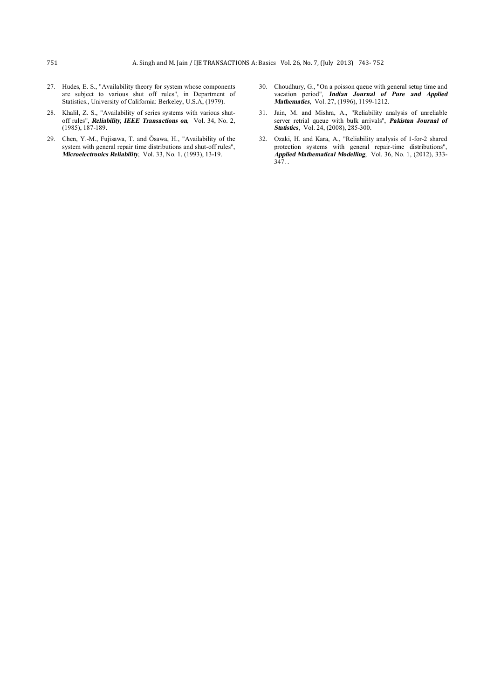- 27. Hudes, E. S., "Availability theory for system whose components are subject to various shut off rules", in Department of Statistics., University of California: Berkeley, U.S.A, (1979).
- 28. Khalil, Z. S., "Availability of series systems with various shutoff rules", *Reliability, IEEE Transactions on*, Vol. 34, No. 2, (1985), 187-189.
- 29. Chen, Y.-M., Fujisawa, T. and Ōsawa, H., "Availability of the system with general repair time distributions and shut-off rules", *Microelectronics Reliability*, Vol. 33, No. 1, (1993), 13-19.
- 30. Choudhury, G., "On a poisson queue with general setup time and vacation period", *Indian Journal of Pure and Applied Mathematics*, Vol. 27, (1996), 1199-1212.
- 31. Jain, M. and Mishra, A., "Reliability analysis of unreliable server retrial queue with bulk arrivals", *Pakistan Journal of Statistics*, Vol. 24, (2008), 285-300.
- 32. Ozaki, H. and Kara, A., "Reliability analysis of 1-for-2 shared protection systems with general repair-time distributions", *Applied Mathematical Modelling*, Vol. 36, No. 1, (2012), 333- 347. .